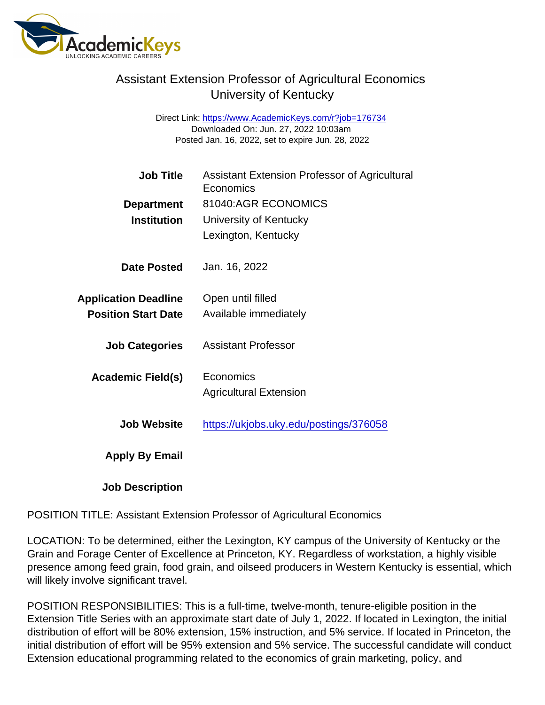Direct Link: <https://www.AcademicKeys.com/r?job=176734> Downloaded On: Jun. 27, 2022 10:03am Posted Jan. 16, 2022, set to expire Jun. 28, 2022

| <b>Job Title</b>            | Assistant Extension Professor of Agricultural<br>Economics |
|-----------------------------|------------------------------------------------------------|
| Department                  | 81040:AGR ECONOMICS                                        |
| Institution                 | University of Kentucky                                     |
|                             | Lexington, Kentucky                                        |
| Date Posted                 | Jan. 16, 2022                                              |
| <b>Application Deadline</b> | Open until filled                                          |
| <b>Position Start Date</b>  | Available immediately                                      |
| <b>Job Categories</b>       | <b>Assistant Professor</b>                                 |
| Academic Field(s)           | Economics                                                  |
|                             | <b>Agricultural Extension</b>                              |
| <b>Job Website</b>          | https://ukjobs.uky.edu/postings/376058                     |
| Apply By Email              |                                                            |
| <b>Job Description</b>      |                                                            |

POSITION TITLE: Assistant Extension Professor of Agricultural Economics

LOCATION: To be determined, either the Lexington, KY campus of the University of Kentucky or the Grain and Forage Center of Excellence at Princeton, KY. Regardless of workstation, a highly visible presence among feed grain, food grain, and oilseed producers in Western Kentucky is essential, which will likely involve significant travel.

POSITION RESPONSIBILITIES: This is a full-time, twelve-month, tenure-eligible position in the Extension Title Series with an approximate start date of July 1, 2022. If located in Lexington, the initial distribution of effort will be 80% extension, 15% instruction, and 5% service. If located in Princeton, the initial distribution of effort will be 95% extension and 5% service. The successful candidate will conduct Extension educational programming related to the economics of grain marketing, policy, and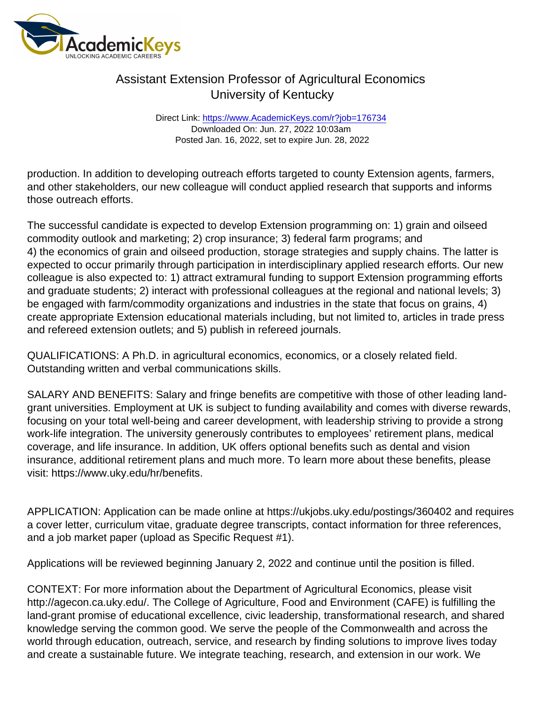Direct Link: <https://www.AcademicKeys.com/r?job=176734> Downloaded On: Jun. 27, 2022 10:03am Posted Jan. 16, 2022, set to expire Jun. 28, 2022

production. In addition to developing outreach efforts targeted to county Extension agents, farmers, and other stakeholders, our new colleague will conduct applied research that supports and informs those outreach efforts.

The successful candidate is expected to develop Extension programming on: 1) grain and oilseed commodity outlook and marketing; 2) crop insurance; 3) federal farm programs; and 4) the economics of grain and oilseed production, storage strategies and supply chains. The latter is expected to occur primarily through participation in interdisciplinary applied research efforts. Our new colleague is also expected to: 1) attract extramural funding to support Extension programming efforts and graduate students; 2) interact with professional colleagues at the regional and national levels; 3) be engaged with farm/commodity organizations and industries in the state that focus on grains, 4) create appropriate Extension educational materials including, but not limited to, articles in trade press and refereed extension outlets; and 5) publish in refereed journals.

QUALIFICATIONS: A Ph.D. in agricultural economics, economics, or a closely related field. Outstanding written and verbal communications skills.

SALARY AND BENEFITS: Salary and fringe benefits are competitive with those of other leading landgrant universities. Employment at UK is subject to funding availability and comes with diverse rewards, focusing on your total well-being and career development, with leadership striving to provide a strong work-life integration. The university generously contributes to employees' retirement plans, medical coverage, and life insurance. In addition, UK offers optional benefits such as dental and vision insurance, additional retirement plans and much more. To learn more about these benefits, please visit: https://www.uky.edu/hr/benefits.

APPLICATION: Application can be made online at https://ukjobs.uky.edu/postings/360402 and requires a cover letter, curriculum vitae, graduate degree transcripts, contact information for three references, and a job market paper (upload as Specific Request #1).

Applications will be reviewed beginning January 2, 2022 and continue until the position is filled.

CONTEXT: For more information about the Department of Agricultural Economics, please visit http://agecon.ca.uky.edu/. The College of Agriculture, Food and Environment (CAFE) is fulfilling the land-grant promise of educational excellence, civic leadership, transformational research, and shared knowledge serving the common good. We serve the people of the Commonwealth and across the world through education, outreach, service, and research by finding solutions to improve lives today and create a sustainable future. We integrate teaching, research, and extension in our work. We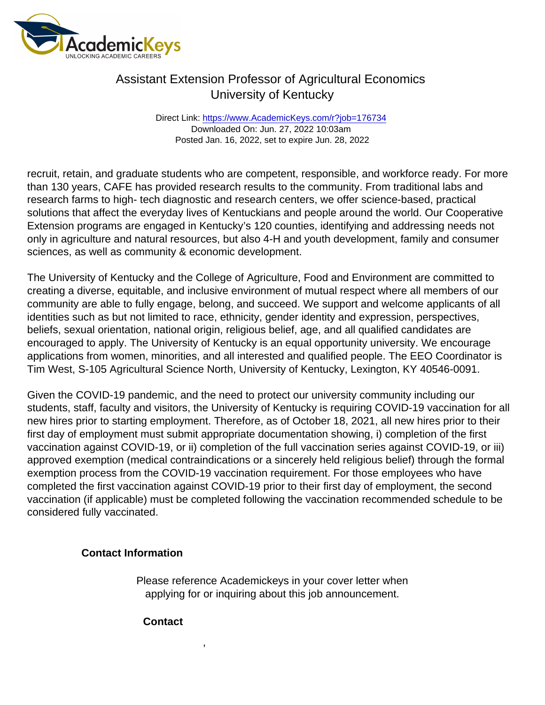Direct Link: <https://www.AcademicKeys.com/r?job=176734> Downloaded On: Jun. 27, 2022 10:03am Posted Jan. 16, 2022, set to expire Jun. 28, 2022

recruit, retain, and graduate students who are competent, responsible, and workforce ready. For more than 130 years, CAFE has provided research results to the community. From traditional labs and research farms to high- tech diagnostic and research centers, we offer science-based, practical solutions that affect the everyday lives of Kentuckians and people around the world. Our Cooperative Extension programs are engaged in Kentucky's 120 counties, identifying and addressing needs not only in agriculture and natural resources, but also 4-H and youth development, family and consumer sciences, as well as community & economic development.

The University of Kentucky and the College of Agriculture, Food and Environment are committed to creating a diverse, equitable, and inclusive environment of mutual respect where all members of our community are able to fully engage, belong, and succeed. We support and welcome applicants of all identities such as but not limited to race, ethnicity, gender identity and expression, perspectives, beliefs, sexual orientation, national origin, religious belief, age, and all qualified candidates are encouraged to apply. The University of Kentucky is an equal opportunity university. We encourage applications from women, minorities, and all interested and qualified people. The EEO Coordinator is Tim West, S-105 Agricultural Science North, University of Kentucky, Lexington, KY 40546-0091.

Given the COVID-19 pandemic, and the need to protect our university community including our students, staff, faculty and visitors, the University of Kentucky is requiring COVID-19 vaccination for all new hires prior to starting employment. Therefore, as of October 18, 2021, all new hires prior to their first day of employment must submit appropriate documentation showing, i) completion of the first vaccination against COVID-19, or ii) completion of the full vaccination series against COVID-19, or iii) approved exemption (medical contraindications or a sincerely held religious belief) through the formal exemption process from the COVID-19 vaccination requirement. For those employees who have completed the first vaccination against COVID-19 prior to their first day of employment, the second vaccination (if applicable) must be completed following the vaccination recommended schedule to be considered fully vaccinated.

Contact Information

Please reference Academickeys in your cover letter when applying for or inquiring about this job announcement.

**Contact** 

,